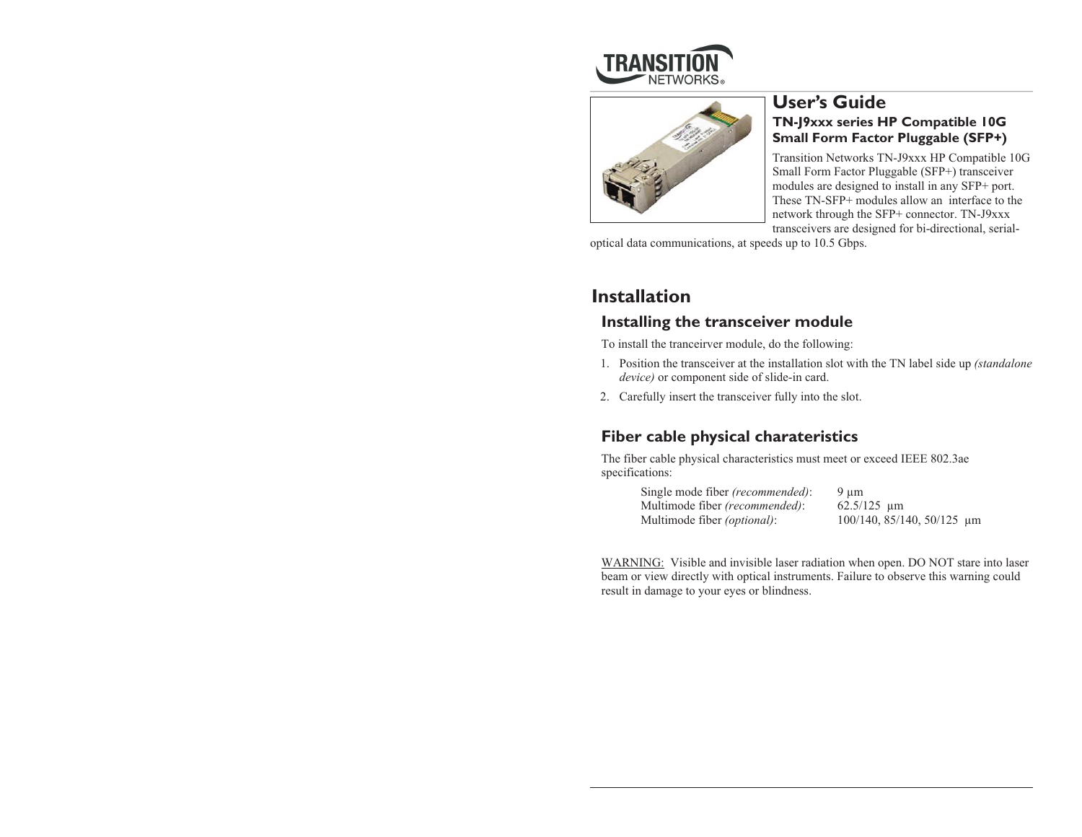



### **User's Guide TN-J9xxx series HP Compatible 10G Small Form Factor Pluggable (SFP+)**

Transition Networks TN-J9xxx HP Compatible 10G Small Form Factor Pluggable (SFP+) transceiver modules are designed to install in any SFP+ port. These TN-SFP+ modules allow an interface to the network through the SFP+ connector. TN-J9xxx transceivers are designed for bi-directional, serial-

optical data communications, at speeds up to 10.5 Gbps.

# **Installation**

### **Installing the transceiver module**

To install the tranceirver module, do the following:

- 1. Position the transceiver at the installation slot with the TN label side up *(standalone device)* or component side of slide-in card.
- 2. Carefully insert the transceiver fully into the slot.

### **Fiber cable physical charateristics**

The fiber cable physical characteristics must meet or exceed IEEE 802.3ae specifications:

| Single mode fiber <i>(recommended)</i> : | $9 \mu m$                  |  |
|------------------------------------------|----------------------------|--|
| Multimode fiber (recommended):           | $62.5/125 \text{ \mu m}$   |  |
| Multimode fiber <i>(optional)</i> :      | 100/140, 85/140, 50/125 µm |  |

WARNING: Visible and invisible laser radiation when open. DO NOT stare into laser beam or view directly with optical instruments. Failure to observe this warning could result in damage to your eyes or blindness.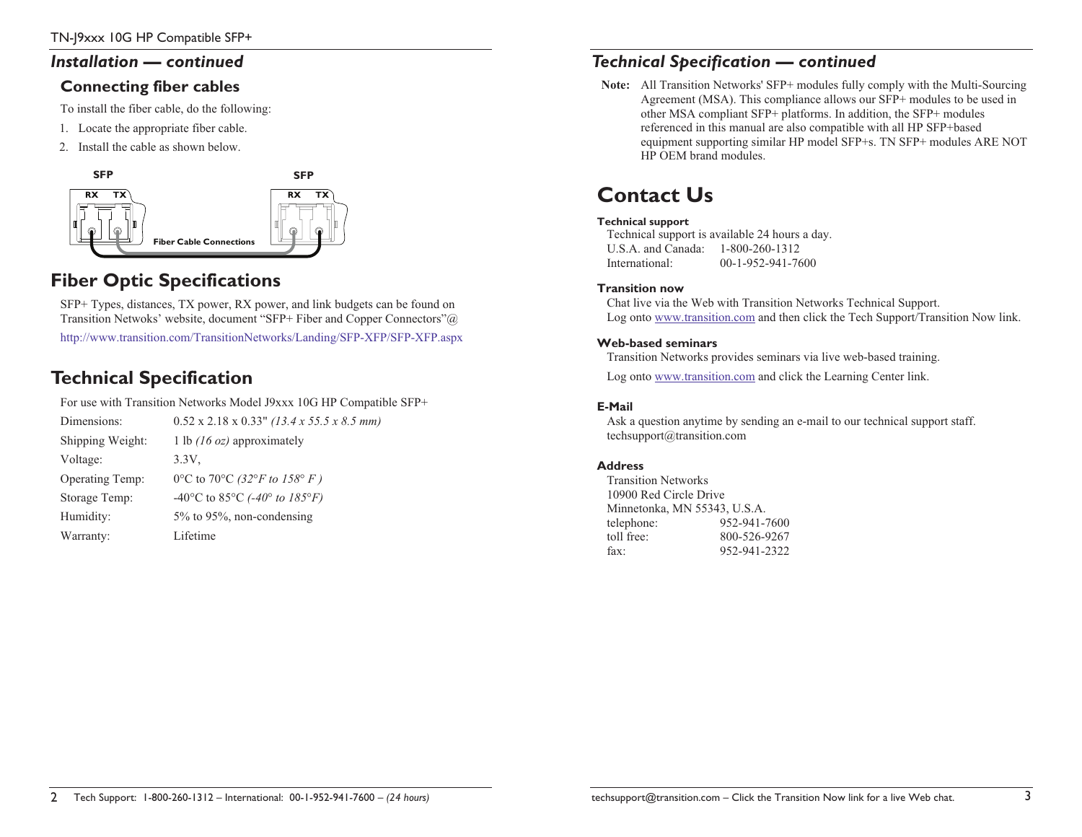### *Installation — continued*

### **Connecting fiber cables**

To install the fiber cable, do the following:

- 1. Locate the appropriate fiber cable.
- 2. Install the cable as shown below.



# **Fiber Optic Specifications**

SFP+ Types, distances, TX power, RX power, and link budgets can be found on Transition Netwoks' website, document "SFP+ Fiber and Copper Connectors"@

http://www.transition.com/TransitionNetworks/Landing/SFP-XFP/SFP-XFP.aspx

# **Technical Specification**

For use with Transition Networks Model J9xxx 10G HP Compatible SFP+

Dimensions: 0.52 x 2.18 x 0.33" *(13.4 x 55.5 x 8.5 mm)* Shipping Weight: 1 lb *(16 oz)* approximately Voltage: 3.3V, Operating Temp: 0°C to 70°C *(32°F to 158° F )* Storage Temp: -40°C to 85°C *(-40° to 185°F)* Humidity: 5% to 95%, non-condensing Warranty: Lifetime

### *Technical Specification — continued*

**Note:** All Transition Networks' SFP+ modules fully comply with the Multi-Sourcing Agreement (MSA). This compliance allows our SFP+ modules to be used in other MSA compliant SFP+ platforms. In addition, the SFP+ modules referenced in this manual are also compatible with all HP SFP+based equipment supporting similar HP model SFP+s. TN SFP+ modules ARE NOT HP OEM brand modules.

# **Contact Us**

#### **Technical support**

Technical support is available 24 hours a day. U.S.A. and Canada: 1-800-260-1312 International: 00-1-952-941-7600

#### **Transition now**

Chat live via the Web with Transition Networks Technical Support. Log onto www.transition.com and then click the Tech Support/Transition Now link.

#### **Web-based seminars**

Transition Networks provides seminars via live web-based training.

Log onto www.transition.com and click the Learning Center link.

#### **E-Mail**

Ask a question anytime by sending an e-mail to our technical support staff. techsupport@transition.com

#### **Address**

Transition Networks 10900 Red Circle Drive Minnetonka, MN 55343, U.S.A. telephone: 952-941-7600 toll free: 800-526-9267 fax: 952-941-2322